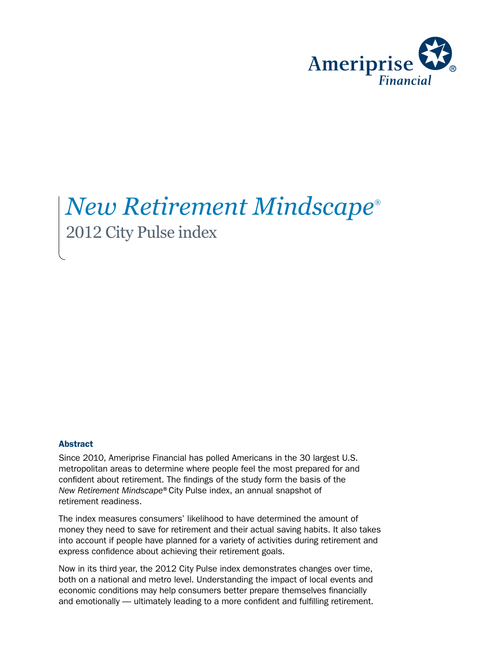

# *New Retirement Mindscape*® 2012 City Pulse index

#### **Abstract**

Since 2010, Ameriprise Financial has polled Americans in the 30 largest U.S. metropolitan areas to determine where people feel the most prepared for and confident about retirement. The findings of the study form the basis of the *New Retirement Mindscape*®City Pulse index, an annual snapshot of retirement readiness.

The index measures consumers' likelihood to have determined the amount of money they need to save for retirement and their actual saving habits. It also takes into account if people have planned for a variety of activities during retirement and express confidence about achieving their retirement goals.

Now in its third year, the 2012 City Pulse index demonstrates changes over time, both on a national and metro level. Understanding the impact of local events and economic conditions may help consumers better prepare themselves financially and emotionally — ultimately leading to a more confident and fulfilling retirement.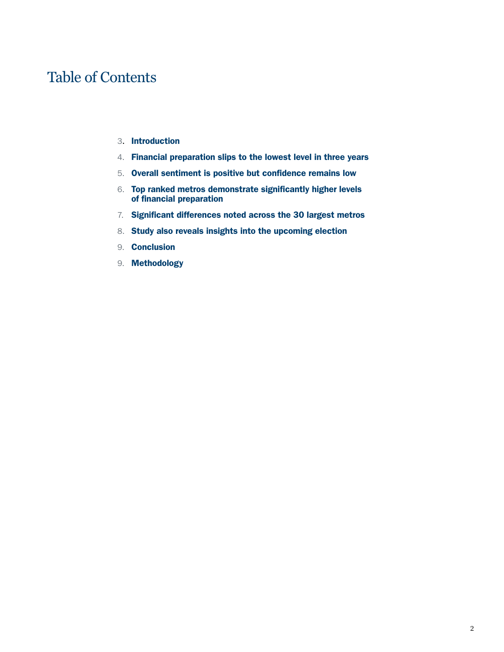### Table of Contents

- 3. Introduction
- 4. Financial preparation slips to the lowest level in three years
- 5. Overall sentiment is positive but confidence remains low
- 6. Top ranked metros demonstrate significantly higher levels of financial preparation
- 7. Significant differences noted across the 30 largest metros
- 8. Study also reveals insights into the upcoming election
- 9. Conclusion
- 9. Methodology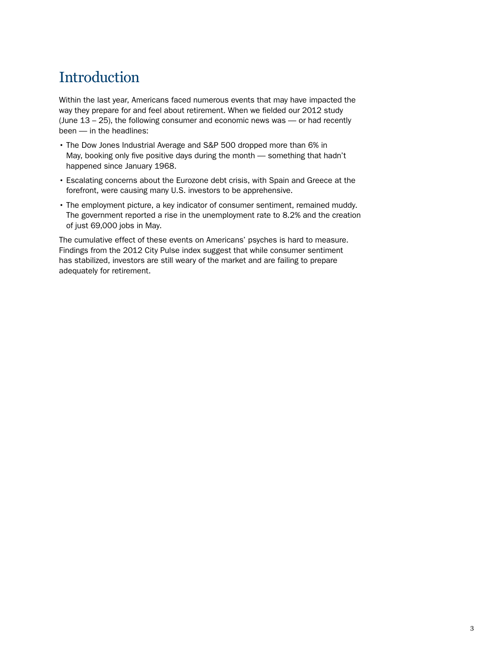### **Introduction**

Within the last year, Americans faced numerous events that may have impacted the way they prepare for and feel about retirement. When we fielded our 2012 study (June 13 – 25), the following consumer and economic news was — or had recently been — in the headlines:

- The Dow Jones Industrial Average and S&P 500 dropped more than 6% in May, booking only five positive days during the month — something that hadn't happened since January 1968.
- Escalating concerns about the Eurozone debt crisis, with Spain and Greece at the forefront, were causing many U.S. investors to be apprehensive.
- The employment picture, a key indicator of consumer sentiment, remained muddy. The government reported a rise in the unemployment rate to 8.2% and the creation of just 69,000 jobs in May.

The cumulative effect of these events on Americans' psyches is hard to measure. Findings from the 2012 City Pulse index suggest that while consumer sentiment has stabilized, investors are still weary of the market and are failing to prepare adequately for retirement.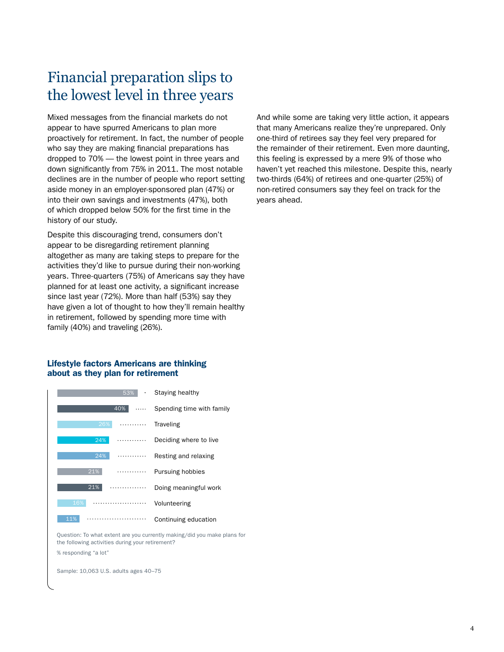### Financial preparation slips to the lowest level in three years

Mixed messages from the financial markets do not appear to have spurred Americans to plan more proactively for retirement. In fact, the number of people who say they are making financial preparations has dropped to 70% — the lowest point in three years and down significantly from 75% in 2011. The most notable declines are in the number of people who report setting aside money in an employer-sponsored plan (47%) or into their own savings and investments (47%), both of which dropped below 50% for the first time in the history of our study.

Despite this discouraging trend, consumers don't appear to be disregarding retirement planning altogether as many are taking steps to prepare for the activities they'd like to pursue during their non-working years. Three-quarters (75%) of Americans say they have planned for at least one activity, a significant increase since last year (72%). More than half (53%) say they have given a lot of thought to how they'll remain healthy in retirement, followed by spending more time with family (40%) and traveling (26%).

#### Lifestyle factors Americans are thinking about as they plan for retirement



Question: To what extent are you currently making/did you make plans for the following activities during your retirement? % responding "a lot"

Sample: 10,063 U.S. adults ages 40–75

And while some are taking very little action, it appears that many Americans realize they're unprepared. Only one-third of retirees say they feel very prepared for the remainder of their retirement. Even more daunting, this feeling is expressed by a mere 9% of those who haven't yet reached this milestone. Despite this, nearly two-thirds (64%) of retirees and one-quarter (25%) of non-retired consumers say they feel on track for the years ahead.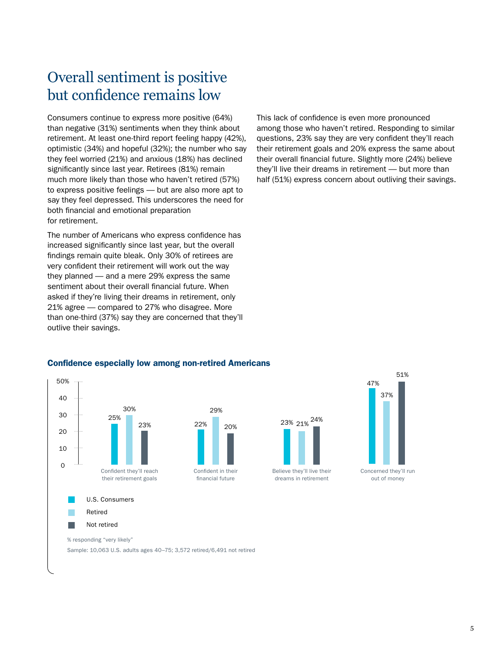### Overall sentiment is positive but confidence remains low

Consumers continue to express more positive (64%) than negative (31%) sentiments when they think about retirement. At least one-third report feeling happy (42%), optimistic (34%) and hopeful (32%); the number who say they feel worried (21%) and anxious (18%) has declined significantly since last year. Retirees (81%) remain much more likely than those who haven't retired (57%) to express positive feelings — but are also more apt to say they feel depressed. This underscores the need for both financial and emotional preparation for retirement.

The number of Americans who express confidence has increased significantly since last year, but the overall findings remain quite bleak. Only 30% of retirees are very confident their retirement will work out the way they planned — and a mere 29% express the same sentiment about their overall financial future. When asked if they're living their dreams in retirement, only 21% agree — compared to 27% who disagree. More than one-third (37%) say they are concerned that they'll outlive their savings.

This lack of confidence is even more pronounced among those who haven't retired. Responding to similar questions, 23% say they are very confident they'll reach their retirement goals and 20% express the same about their overall financial future. Slightly more (24%) believe they'll live their dreams in retirement — but more than half (51%) express concern about outliving their savings.

#### Confidence especially low among non-retired Americans

29%





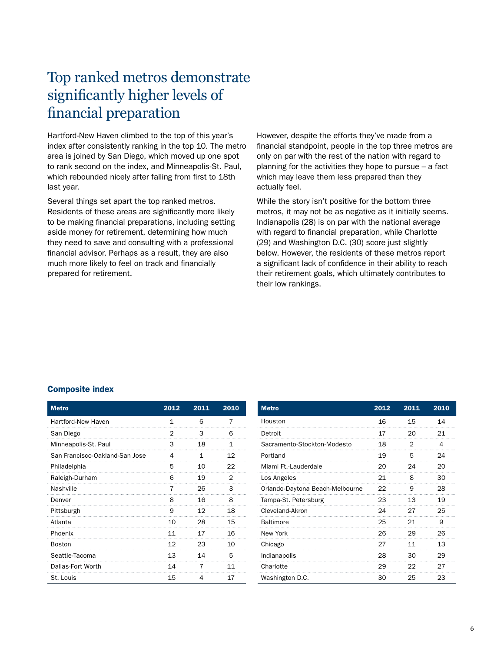### Top ranked metros demonstrate significantly higher levels of financial preparation

Hartford-New Haven climbed to the top of this year's index after consistently ranking in the top 10. The metro area is joined by San Diego, which moved up one spot to rank second on the index, and Minneapolis-St. Paul, which rebounded nicely after falling from first to 18th last year.

Several things set apart the top ranked metros. Residents of these areas are significantly more likely to be making financial preparations, including setting aside money for retirement, determining how much they need to save and consulting with a professional financial advisor. Perhaps as a result, they are also much more likely to feel on track and financially prepared for retirement.

However, despite the efforts they've made from a financial standpoint, people in the top three metros are only on par with the rest of the nation with regard to planning for the activities they hope to pursue – a fact which may leave them less prepared than they actually feel.

While the story isn't positive for the bottom three metros, it may not be as negative as it initially seems. Indianapolis (28) is on par with the national average with regard to financial preparation, while Charlotte (29) and Washington D.C. (30) score just slightly below. However, the residents of these metros report a significant lack of confidence in their ability to reach their retirement goals, which ultimately contributes to their low rankings.

#### Composite index

| <b>Metro</b>                   | 2012 | 2011 | 2010         |
|--------------------------------|------|------|--------------|
| Hartford-New Haven             | 1    | 6    | 7            |
| San Diego                      | 2    | 3    | 6            |
| Minneapolis-St. Paul           | 3    | 18   | $\mathbf{1}$ |
| San Francisco-Oakland-San Jose | 4    | 1    | 12           |
| Philadelphia                   | 5    | 10   | 22           |
| Raleigh-Durham                 | 6    | 19   | 2            |
| Nashville                      | 7    | 26   | 3            |
| Denver                         | 8    | 16   | 8            |
| Pittsburgh                     | 9    | 12   | 18           |
| Atlanta                        | 10   | 28   | 15           |
| Phoenix                        | 11   | 17   | 16           |
| <b>Boston</b>                  | 12   | 23   | 10           |
| Seattle-Tacoma                 | 13   | 14   | 5            |
| Dallas-Fort Worth              | 14   | 7    | 11           |
| St. Louis                      | 15   | 4    | 17           |

| <b>Metro</b>                    | 2012 | 2011 | 2010 |
|---------------------------------|------|------|------|
| Houston                         | 16   | 15   | 14   |
| Detroit                         | 17   | 20   | 21   |
| Sacramento-Stockton-Modesto     | 18   | 2    | 4    |
| Portland                        | 19   | 5    | 24   |
| Miami Ft.-I auderdale           | 20   | 24   | 20   |
| Los Angeles                     | 21   | 8    | 30   |
| Orlando-Daytona Beach-Melbourne | 22   | 9    | 28   |
| Tampa-St. Petersburg            | 23   | 13   | 19   |
| Cleveland-Akron                 | 24   | 27   | 25   |
| <b>Baltimore</b>                | 25   | 21   | 9    |
| New York                        | 26   | 29   | 26   |
| Chicago                         | 27   | 11   | 13   |
| Indianapolis                    | 28   | 30   | 29   |
| Charlotte                       | 29   | 22   | 27   |
| Washington D.C.                 | 30   | 25   | 23   |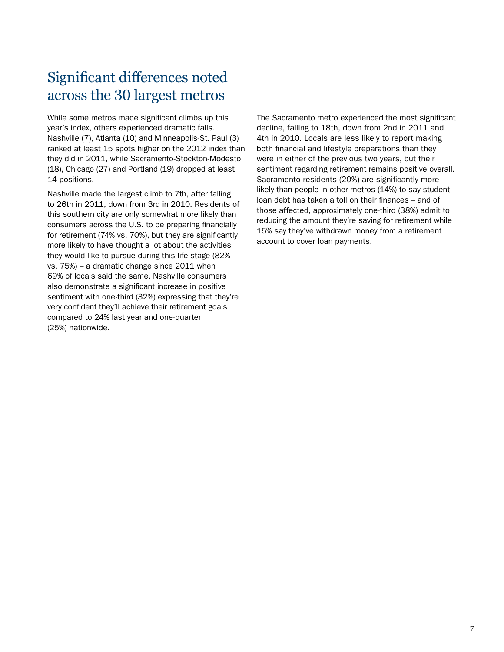### Significant differences noted across the 30 largest metros

While some metros made significant climbs up this year's index, others experienced dramatic falls. Nashville (7), Atlanta (10) and Minneapolis-St. Paul (3) ranked at least 15 spots higher on the 2012 index than they did in 2011, while Sacramento-Stockton-Modesto (18), Chicago (27) and Portland (19) dropped at least 14 positions.

Nashville made the largest climb to 7th, after falling to 26th in 2011, down from 3rd in 2010. Residents of this southern city are only somewhat more likely than consumers across the U.S. to be preparing financially for retirement (74% vs. 70%), but they are significantly more likely to have thought a lot about the activities they would like to pursue during this life stage (82% vs. 75%) – a dramatic change since 2011 when 69% of locals said the same. Nashville consumers also demonstrate a significant increase in positive sentiment with one-third (32%) expressing that they're very confident they'll achieve their retirement goals compared to 24% last year and one-quarter (25%) nationwide.

The Sacramento metro experienced the most significant decline, falling to 18th, down from 2nd in 2011 and 4th in 2010. Locals are less likely to report making both financial and lifestyle preparations than they were in either of the previous two years, but their sentiment regarding retirement remains positive overall. Sacramento residents (20%) are significantly more likely than people in other metros (14%) to say student loan debt has taken a toll on their finances – and of those affected, approximately one-third (38%) admit to reducing the amount they're saving for retirement while 15% say they've withdrawn money from a retirement account to cover loan payments.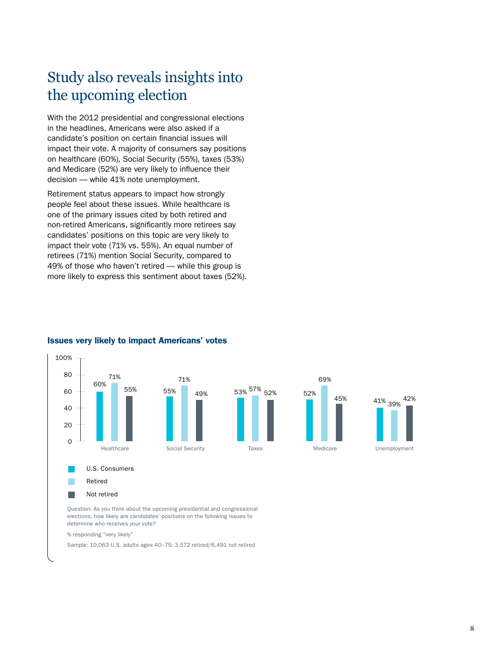### Study also reveals insights into the upcoming election

With the 2012 presidential and congressional elections in the headlines, Americans were also asked if a candidate's position on certain financial issues will impact their vote. A majority of consumers say positions on healthcare (60%), Social Security (55%), taxes (53%) and Medicare (52%) are very likely to influence their decision — while 41% note unemployment.

Retirement status appears to impact how strongly people feel about these issues. While healthcare is one of the primary issues cited by both retired and non-retired Americans, significantly more retirees say candidates' positions on this topic are very likely to impact their vote (71% vs. 55%). An equal number of retirees (71%) mention Social Security, compared to 49% of those who haven't retired — while this group is more likely to express this sentiment about taxes (52%).



### Issues very likely to impact Americans' votes

elections, how likely are candidates' positions on the following issues to determine who receives your vote?

% responding "very likely"

Sample: 10,063 U.S. adults ages 40–75; 3,572 retired/6,491 not retired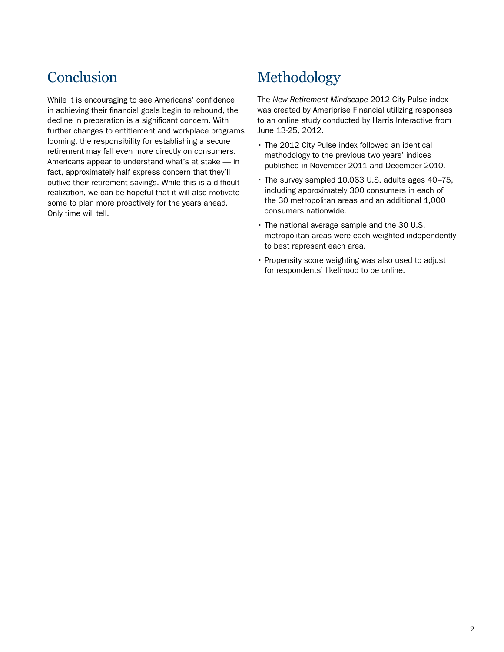While it is encouraging to see Americans' confidence in achieving their financial goals begin to rebound, the decline in preparation is a significant concern. With further changes to entitlement and workplace programs looming, the responsibility for establishing a secure retirement may fall even more directly on consumers. Americans appear to understand what's at stake — in fact, approximately half express concern that they'll outlive their retirement savings. While this is a difficult realization, we can be hopeful that it will also motivate some to plan more proactively for the years ahead. Only time will tell.

## Conclusion Methodology

The *New Retirement Mindscape* 2012 City Pulse index was created by Ameriprise Financial utilizing responses to an online study conducted by Harris Interactive from June 13-25, 2012.

- The 2012 City Pulse index followed an identical methodology to the previous two years' indices published in November 2011 and December 2010.
- The survey sampled 10,063 U.S. adults ages 40–75, including approximately 300 consumers in each of the 30 metropolitan areas and an additional 1,000 consumers nationwide.
- The national average sample and the 30 U.S. metropolitan areas were each weighted independently to best represent each area.
- Propensity score weighting was also used to adjust for respondents' likelihood to be online.